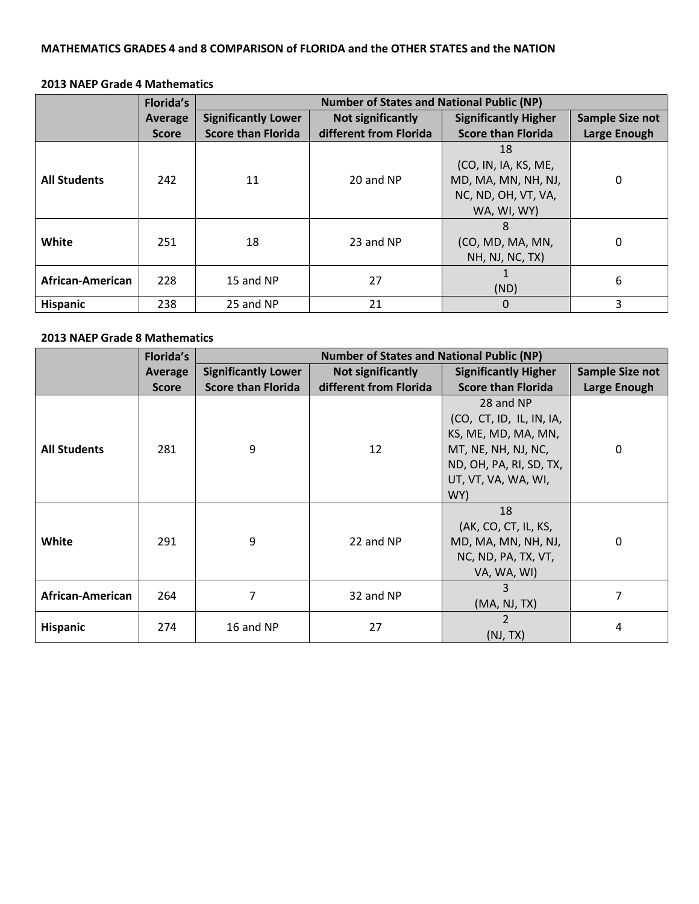## **MATHEMATICS GRADES 4 and 8 COMPARISON of FLORIDA and the OTHER STATES and the NATION**

### **2013 NAEP Grade 4 Mathematics**

|                     | Florida's    | <b>Number of States and National Public (NP)</b> |                        |                                                                                         |                        |
|---------------------|--------------|--------------------------------------------------|------------------------|-----------------------------------------------------------------------------------------|------------------------|
|                     | Average      | <b>Significantly Lower</b>                       | Not significantly      | <b>Significantly Higher</b>                                                             | <b>Sample Size not</b> |
|                     | <b>Score</b> | <b>Score than Florida</b>                        | different from Florida | <b>Score than Florida</b>                                                               | Large Enough           |
| <b>All Students</b> | 242          | 11                                               | 20 and NP              | 18<br>(CO, IN, IA, KS, ME,<br>MD, MA, MN, NH, NJ,<br>NC, ND, OH, VT, VA,<br>WA, WI, WY) | 0                      |
| White               | 251          | 18                                               | 23 and NP              | 8<br>(CO, MD, MA, MN,<br>NH, NJ, NC, TX)                                                | $\Omega$               |
| African-American    | 228          | 15 and NP                                        | 27                     | (ND)                                                                                    | 6                      |
| <b>Hispanic</b>     | 238          | 25 and NP                                        | 21                     | 0                                                                                       | 3                      |

#### **2013 NAEP Grade 8 Mathematics**

|                     | <b>Florida's</b> | <b>Number of States and National Public (NP)</b> |                        |                                                                                                                                              |                 |  |
|---------------------|------------------|--------------------------------------------------|------------------------|----------------------------------------------------------------------------------------------------------------------------------------------|-----------------|--|
|                     | Average          | <b>Significantly Lower</b>                       | Not significantly      | <b>Significantly Higher</b>                                                                                                                  | Sample Size not |  |
|                     | <b>Score</b>     | <b>Score than Florida</b>                        | different from Florida | <b>Score than Florida</b>                                                                                                                    | Large Enough    |  |
| <b>All Students</b> | 281              | 9                                                | 12                     | 28 and NP<br>(CO, CT, ID, IL, IN, IA,<br>KS, ME, MD, MA, MN,<br>MT, NE, NH, NJ, NC,<br>ND, OH, PA, RI, SD, TX,<br>UT, VT, VA, WA, WI,<br>WY) | 0               |  |
| White               | 291              | 9                                                | 22 and NP              | 18<br>(AK, CO, CT, IL, KS,<br>MD, MA, MN, NH, NJ,<br>NC, ND, PA, TX, VT,<br>VA, WA, WI)                                                      | $\Omega$        |  |
| African-American    | 264              | 7                                                | 32 and NP              | 3<br>(MA, NJ, TX)                                                                                                                            | 7               |  |
| <b>Hispanic</b>     | 274              | 16 and NP                                        | 27                     | 2<br>(NJ, TX)                                                                                                                                | 4               |  |